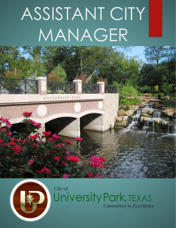# ASSISTANT CITY MANAGER

PARK UNIVERSITY



 $\it City$  of University Park, TEXAS Committed to Excellence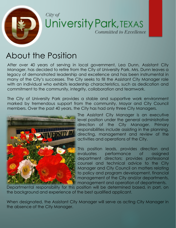

### City of University Park, TEXAS Committed to Excellence

## About the Position

After over 40 years of serving in local government, Lea Dunn, Assistant City Manager, has decided to retire from the City of University Park. Mrs. Dunn leaves a legacy of demonstrated leadership and excellence and has been instrumental in many of the City's successes. The City seeks to fill the Assistant City Manager role with an individual who exhibits leadership characteristics, such as dedication and commitment to the community, integrity, collaboration and teamwork.

The City of University Park provides a stable and supportive work environment marked by tremendous support from the community, Mayor and City Council members. Over the past 40 years, the City has had only three City Managers.



The Assistant City Manager is an executive level position under the general administrative direction of the City Manager. Primary responsibilities include assisting in the planning, directing, management and review of the activities and operations of the City.

This position leads, provides direction and evaluates performance of assigned department directors; provides professional counsel and technical advice to the City Manager and City Council on matters relating to policy and program development, financial management of the City and/or departments, management and operation of departments.

Departmental responsibility for this position will be determined based, in part, on the background and experience of the best qualified applicant.

When designated, the Assistant City Manager will serve as acting City Manager in the absence of the City Manager.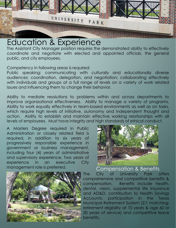

## Education & Experience

The Assistant City Manager position requires the demonstrated ability to effectively coordinate and negotiate with elected and appointed officials, the general public, and city employees.

Competency in following areas is required:

Public speaking; communicating with culturally and educationally diverse audiences; coordination, delegation, and negotiation; collaborating effectively with individuals and groups at a full range of levels on a variety of work related issues and influencing them to change their behavior.

Ability to mediate resolutions to problems within and across departments to improve organizational effectiveness. Ability to manage a variety of programs. Ability to work equally effectively in team-based environments as well as on tasks, which require high levels of initiative, autonomy and independent thought and action. Ability to establish and maintain effective working relationships with all levels of employees. Must have integrity and high standards of ethical conduct.

A Masters Degree required in Public Administration or closely related field is required, in addition to six years of progressively responsible experience in government or business management, including four (4) years of administrative and supervisory experience. Two years of experience in an executive City management role is preferred. Compensation & Benefits





The City of University Park offers comprehensive and competitive benefits & compensation. Benefits include health, dental, vision, supplemental life insurance and AD&D, contribution to Health Savings Accounts; participation in the Texas Municipal Retirement System (2:1 matching; retirement eligibility at 10 years & age 60 or 20 years of service) and competitive leave benefits.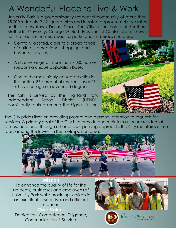# A Wonderful Place to Live & Work

University Park is a predominantly residential community of more than 25,000 residents, 3.69 square miles and located approximately five miles north of downtown Dallas, Texas. The City is the home of Southern Methodist University, George W. Bush Presidential Center and is known for its attractive homes, beautiful parks, and numerous churches.

- Centrally located, close to a broad range of cultural, recreational, shopping, and business activities.
- A diverse range of more than 7,000 homes supports a unique population base.
- One of the most highly-educated cities in the nation, 87 percent of residents over 25 % have college or advanced degrees.

The City is served by the Highland Park Independent School District (HPISD), consistently ranked among the highest in the state.



The City prides itself on providing prompt and personal attention to requests for services. A primary goal of the City is to provide and maintain a secure residential atmosphere and, through a hometown policing approach, the City maintains crime rates among the lowest in the metropolitan area.



#### **Mission**

To enhance the quality of life for the residents, businesses and employees of University Park while providing services in an excellent, responsive, and efficient manner.

#### **Core Values**

Dedication, Competence, Diligence, Communication & Service.





University Park, TEXAS